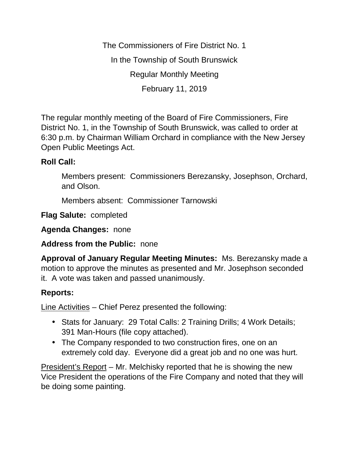The Commissioners of Fire District No. 1 In the Township of South Brunswick Regular Monthly Meeting February 11, 2019

The regular monthly meeting of the Board of Fire Commissioners, Fire District No. 1, in the Township of South Brunswick, was called to order at 6:30 p.m. by Chairman William Orchard in compliance with the New Jersey Open Public Meetings Act.

## **Roll Call:**

Members present: Commissioners Berezansky, Josephson, Orchard, and Olson.

Members absent: Commissioner Tarnowski

**Flag Salute:** completed

**Agenda Changes:** none

## **Address from the Public:** none

**Approval of January Regular Meeting Minutes:** Ms. Berezansky made a motion to approve the minutes as presented and Mr. Josephson seconded it. A vote was taken and passed unanimously.

# **Reports:**

Line Activities – Chief Perez presented the following:

- Stats for January: 29 Total Calls: 2 Training Drills; 4 Work Details; 391 Man-Hours (file copy attached).
- The Company responded to two construction fires, one on an extremely cold day. Everyone did a great job and no one was hurt.

President's Report – Mr. Melchisky reported that he is showing the new Vice President the operations of the Fire Company and noted that they will be doing some painting.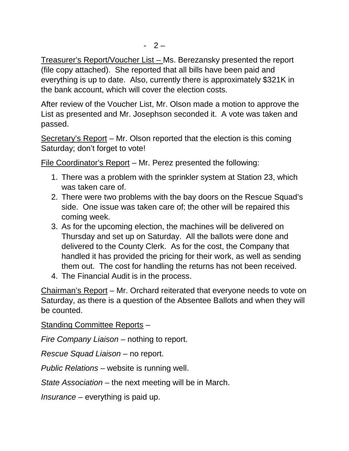Treasurer's Report/Voucher List – Ms. Berezansky presented the report (file copy attached). She reported that all bills have been paid and everything is up to date. Also, currently there is approximately \$321K in the bank account, which will cover the election costs.

After review of the Voucher List, Mr. Olson made a motion to approve the List as presented and Mr. Josephson seconded it. A vote was taken and passed.

Secretary's Report – Mr. Olson reported that the election is this coming Saturday; don't forget to vote!

File Coordinator's Report – Mr. Perez presented the following:

- 1. There was a problem with the sprinkler system at Station 23, which was taken care of.
- 2. There were two problems with the bay doors on the Rescue Squad's side. One issue was taken care of; the other will be repaired this coming week.
- 3. As for the upcoming election, the machines will be delivered on Thursday and set up on Saturday. All the ballots were done and delivered to the County Clerk. As for the cost, the Company that handled it has provided the pricing for their work, as well as sending them out. The cost for handling the returns has not been received.
- 4. The Financial Audit is in the process.

Chairman's Report – Mr. Orchard reiterated that everyone needs to vote on Saturday, as there is a question of the Absentee Ballots and when they will be counted.

## Standing Committee Reports –

*Fire Company Liaison –* nothing to report.

*Rescue Squad Liaison –* no report.

*Public Relations –* website is running well.

*State Association –* the next meeting will be in March.

*Insurance –* everything is paid up.